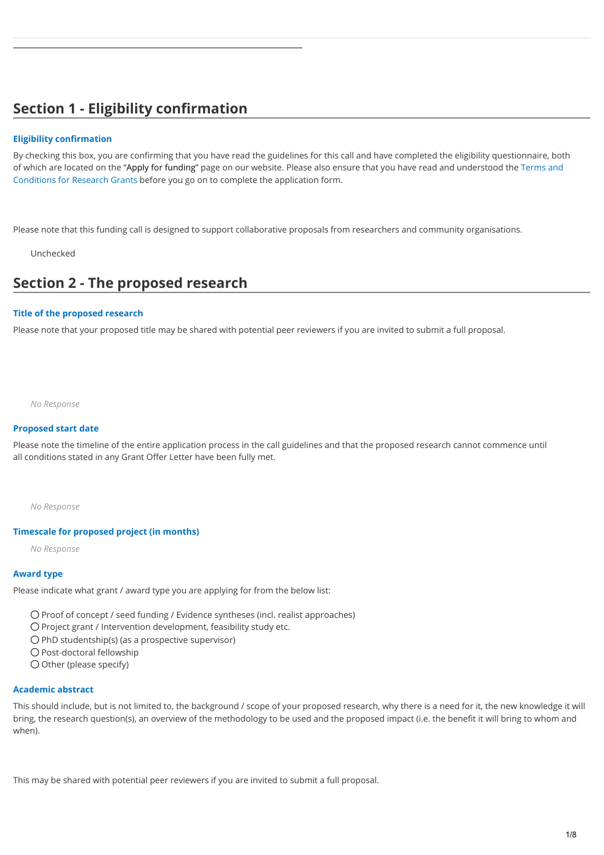# **Section 1 - Eligibility confirmation**

# **Eligibility confirmation**

By checking this box, you are confirming that you have read the guidelines for this call and have completed the eligibility questionnaire, both [of which are located on the "A](https://dunhillmedical.org.uk/wp-content/uploads/2020/10/2020-09-Terms-and-Conditions-Research-Grants.pdf)[pply for fundin](https://dunhillmedical.org.uk/apply-for-funding/)[g" page on our website. Please also ensure that you have read and understood the Terms and](https://dunhillmedical.org.uk/wp-content/uploads/2020/10/2020-09-Terms-and-Conditions-Research-Grants.pdf) Conditions for Research Grants before you go on to complete the application form.

Please note that this funding call is designed to support collaborative proposals from researchers and community organisations.

Unchecked

# **Section 2 - The proposed research**

#### **Title of the proposed research**

Please note that your proposed title may be shared with potential peer reviewers if you are invited to submit a full proposal.

*No Response*

#### **Proposed start date**

Please note the timeline of the entire application process in the call guidelines and that the proposed research cannot commence until all conditions stated in any Grant Offer Letter have been fully met.

*No Response*

#### **Timescale for proposed project (in months)**

*No Response*

#### **Award type**

Please indicate what grant / award type you are applying for from the below list:

Proof of concept / seed funding / Evidence syntheses (incl. realist approaches)

- O Project grant / Intervention development, feasibility study etc.
- $O$  PhD studentship(s) (as a prospective supervisor)
- O Post-doctoral fellowship
- O Other (please specify)

#### **Academic abstract**

This should include, but is not limited to, the background / scope of your proposed research, why there is a need for it, the new knowledge it will bring, the research question(s), an overview of the methodology to be used and the proposed impact (i.e. the benefit it will bring to whom and when).

This may be shared with potential peer reviewers if you are invited to submit a full proposal.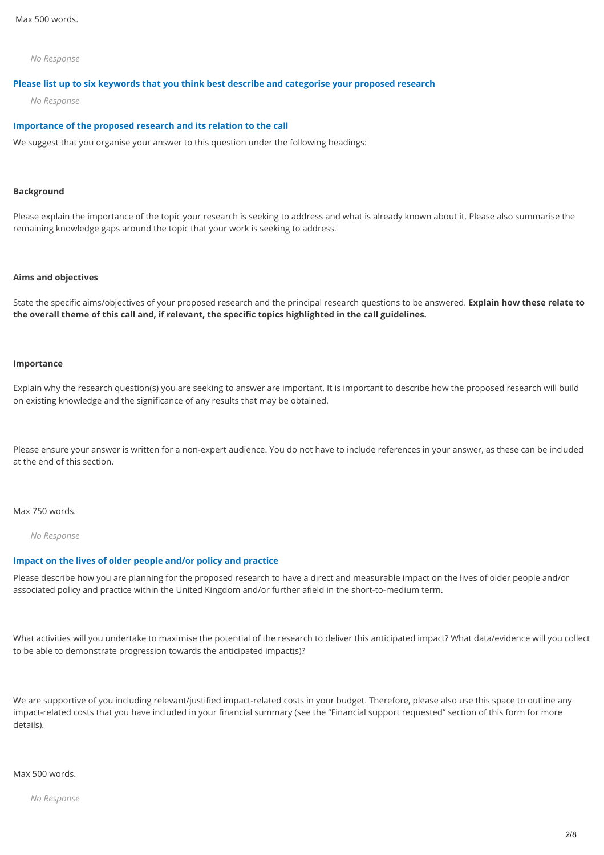*No Response*

#### **Please list up to six keywords that you think best describe and categorise your proposed research**

*No Response*

#### **Importance of the proposed research and its relation to the call**

We suggest that you organise your answer to this question under the following headings:

#### **Background**

Please explain the importance of the topic your research is seeking to address and what is already known about it. Please also summarise the remaining knowledge gaps around the topic that your work is seeking to address.

#### **Aims and objectives**

State the specific aims/objectives of your proposed research and the principal research questions to be answered. **Explain how these relate to the overall theme of this call and, if relevant, the specific topics highlighted in the call guidelines.**

#### **Importance**

Explain why the research question(s) you are seeking to answer are important. It is important to describe how the proposed research will build on existing knowledge and the significance of any results that may be obtained.

Please ensure your answer is written for a non-expert audience. You do not have to include references in your answer, as these can be included at the end of this section.

#### Max 750 words.

*No Response*

# **Impact on the lives of older people and/or policy and practice**

Please describe how you are planning for the proposed research to have a direct and measurable impact on the lives of older people and/or associated policy and practice within the United Kingdom and/or further afield in the short-to-medium term.

What activities will you undertake to maximise the potential of the research to deliver this anticipated impact? What data/evidence will you collect to be able to demonstrate progression towards the anticipated impact(s)?

We are supportive of you including relevant/justified impact-related costs in your budget. Therefore, please also use this space to outline any impact-related costs that you have included in your financial summary (see the "Financial support requested" section of this form for more details).

Max 500 words.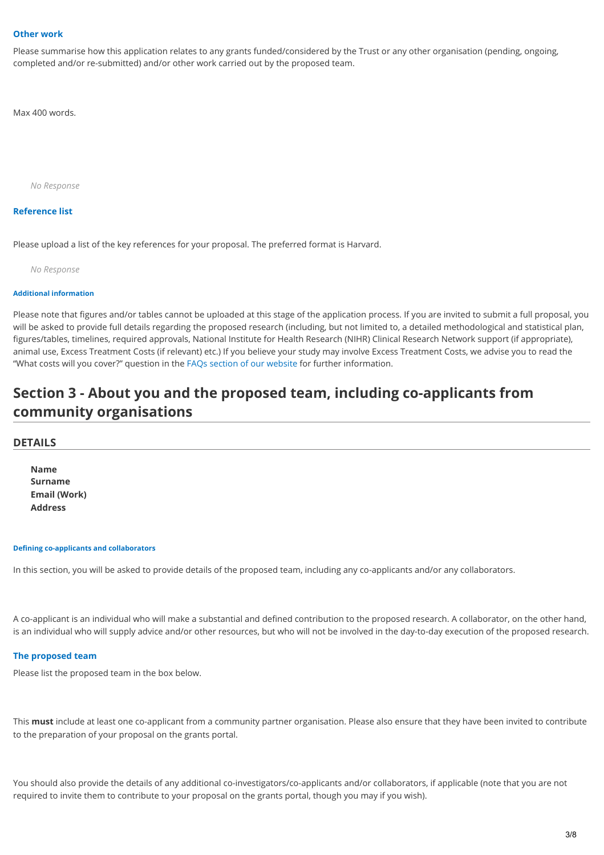### **Other work**

Please summarise how this application relates to any grants funded/considered by the Trust or any other organisation (pending, ongoing, completed and/or re-submitted) and/or other work carried out by the proposed team.

Max 400 words.

*No Response*

## **Reference list**

Please upload a list of the key references for your proposal. The preferred format is Harvard.

*No Response*

#### **Additional information**

Please note that figures and/or tables cannot be uploaded at this stage of the application process. If you are invited to submit a full proposal, you will be asked to provide full details regarding the proposed research (including, but not limited to, a detailed methodological and statistical plan, figures/tables, timelines, required approvals, National Institute for Health Research (NIHR) Clinical Research Network support (if appropriate), animal use, Excess Treatment Costs (if relevant) etc.) If you believe your study may involve Excess Treatment Costs, we advise you to read the "What costs will you cover?" question in the [FAQs section of our website](https://dunhillmedical.org.uk/apply-for-funding/#funding-faqs) for further information.

# **Section 3 - About you and the proposed team, including co-applicants from community organisations**

#### **DETAILS**

**Name Surname Email (Work) Address**

#### **Defining co-applicants and collaborators**

In this section, you will be asked to provide details of the proposed team, including any co-applicants and/or any collaborators.

A co-applicant is an individual who will make a substantial and defined contribution to the proposed research. A collaborator, on the other hand, is an individual who will supply advice and/or other resources, but who will not be involved in the day-to-day execution of the proposed research.

#### **The proposed team**

Please list the proposed team in the box below.

This **must** include at least one co-applicant from a community partner organisation. Please also ensure that they have been invited to contribute to the preparation of your proposal on the grants portal.

You should also provide the details of any additional co-investigators/co-applicants and/or collaborators, if applicable (note that you are not required to invite them to contribute to your proposal on the grants portal, though you may if you wish).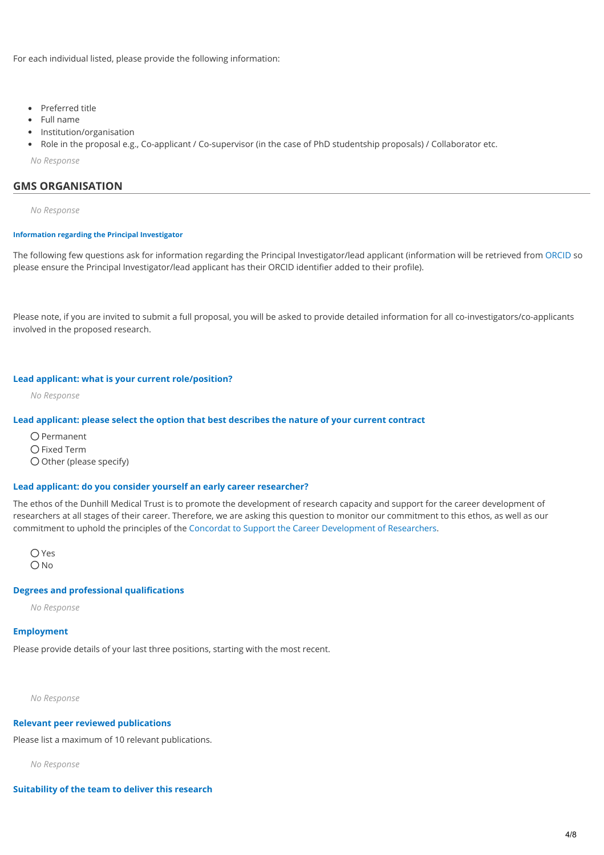For each individual listed, please provide the following information:

- Preferred title
- Full name
- Institution/organisation
- Role in the proposal e.g., Co-applicant / Co-supervisor (in the case of PhD studentship proposals) / Collaborator etc.

*No Response*

# **GMS ORGANISATION**

*No Response*

#### **Information regarding the Principal Investigator**

The following few questions ask for information regarding the Principal Investigator/lead applicant (information will be retrieved from [ORCID](https://orcid.org/) so please ensure the Principal Investigator/lead applicant has their ORCID identifier added to their profile).

Please note, if you are invited to submit a full proposal, you will be asked to provide detailed information for all co-investigators/co-applicants involved in the proposed research.

#### **Lead applicant: what is your current role/position?**

*No Response*

### **Lead applicant: please select the option that best describes the nature of your current contract**

 $O$  Permanent O Fixed Term  $O$  Other (please specify)

#### **Lead applicant: do you consider yourself an early career researcher?**

The ethos of the Dunhill Medical Trust is to promote the development of research capacity and support for the career development of researchers at all stages of their career. Therefore, we are asking this question to monitor our commitment to this ethos, as well as our commitment to uphold the principles of the [Concordat to Support the Career Development of Researchers](https://researcherdevelopmentconcordat.ac.uk/).

O Yes ONo

#### **Degrees and professional qualifications**

*No Response*

#### **Employment**

Please provide details of your last three positions, starting with the most recent.

*No Response*

#### **Relevant peer reviewed publications**

Please list a maximum of 10 relevant publications.

*No Response*

**Suitability of the team to deliver this research**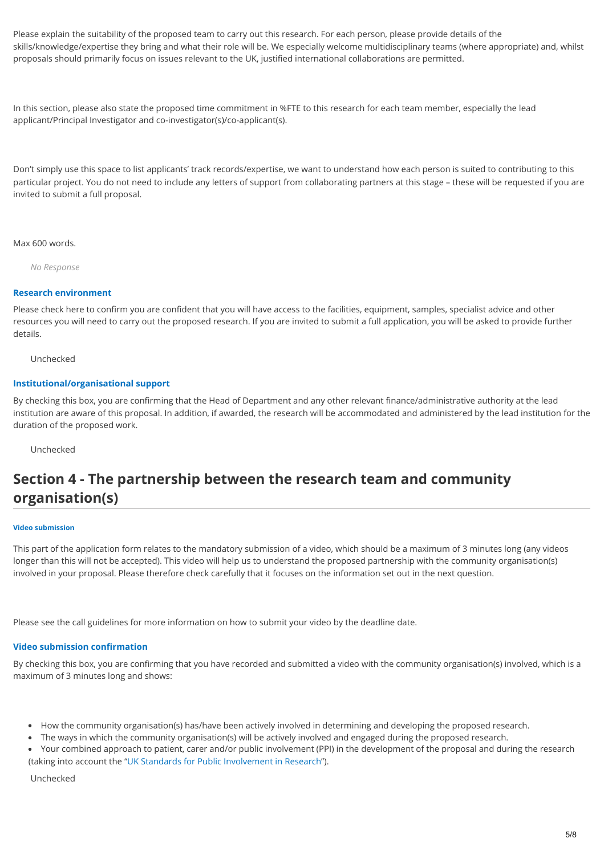Please explain the suitability of the proposed team to carry out this research. For each person, please provide details of the skills/knowledge/expertise they bring and what their role will be. We especially welcome multidisciplinary teams (where appropriate) and, whilst proposals should primarily focus on issues relevant to the UK, justified international collaborations are permitted.

In this section, please also state the proposed time commitment in %FTE to this research for each team member, especially the lead applicant/Principal Investigator and co-investigator(s)/co-applicant(s).

Don't simply use this space to list applicants' track records/expertise, we want to understand how each person is suited to contributing to this particular project. You do not need to include any letters of support from collaborating partners at this stage – these will be requested if you are invited to submit a full proposal.

Max 600 words.

*No Response*

# **Research environment**

Please check here to confirm you are confident that you will have access to the facilities, equipment, samples, specialist advice and other resources you will need to carry out the proposed research. If you are invited to submit a full application, you will be asked to provide further details.

Unchecked

# **Institutional/organisational support**

By checking this box, you are confirming that the Head of Department and any other relevant finance/administrative authority at the lead institution are aware of this proposal. In addition, if awarded, the research will be accommodated and administered by the lead institution for the duration of the proposed work.

Unchecked

# **Section 4 - The partnership between the research team and community organisation(s)**

#### **Video submission**

This part of the application form relates to the mandatory submission of a video, which should be a maximum of 3 minutes long (any videos longer than this will not be accepted). This video will help us to understand the proposed partnership with the community organisation(s) involved in your proposal. Please therefore check carefully that it focuses on the information set out in the next question.

Please see the call guidelines for more information on how to submit your video by the deadline date.

#### **Video submission confirmation**

By checking this box, you are confirming that you have recorded and submitted a video with the community organisation(s) involved, which is a maximum of 3 minutes long and shows:

- How the community organisation(s) has/have been actively involved in determining and developing the proposed research.
- The ways in which the community organisation(s) will be actively involved and engaged during the proposed research.
- Your combined approach to patient, carer and/or public involvement (PPI) in the development of the proposal and during the research (taking into account the "[UK Standards for Public Involvement in Research"](https://sites.google.com/nihr.ac.uk/pi-standards/home)).

Unchecked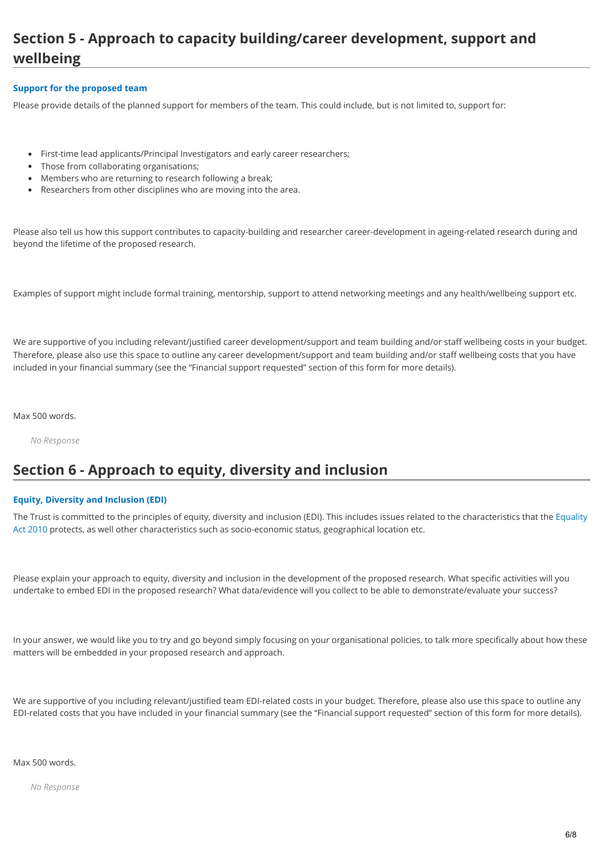# **Section 5 - Approach to capacity building/career development, support and wellbeing**

# **Support for the proposed team**

Please provide details of the planned support for members of the team. This could include, but is not limited to, support for:

- First-time lead applicants/Principal Investigators and early career researchers;
- Those from collaborating organisations;
- Members who are returning to research following a break;
- Researchers from other disciplines who are moving into the area.

Please also tell us how this support contributes to capacity-building and researcher career-development in ageing-related research during and beyond the lifetime of the proposed research.

Examples of support might include formal training, mentorship, support to attend networking meetings and any health/wellbeing support etc.

We are supportive of you including relevant/justified career development/support and team building and/or staff wellbeing costs in your budget. Therefore, please also use this space to outline any career development/support and team building and/or staff wellbeing costs that you have included in your financial summary (see the "Financial support requested" section of this form for more details).

Max 500 words.

*No Response*

# **Section 6 - Approach to equity, diversity and inclusion**

# **Equity, Diversity and Inclusion (EDI)**

[The Trust is committed to the principles of equity, diversity and inclusion \(EDI\). This includes issues related to the characteristics that the Equality](https://www.legislation.gov.uk/ukpga/2010/15/section/4) Act 2010 protects, as well other characteristics such as socio-economic status, geographical location etc.

Please explain your approach to equity, diversity and inclusion in the development of the proposed research. What specific activities will you undertake to embed EDI in the proposed research? What data/evidence will you collect to be able to demonstrate/evaluate your success?

In your answer, we would like you to try and go beyond simply focusing on your organisational policies, to talk more specifically about how these matters will be embedded in your proposed research and approach.

We are supportive of you including relevant/justified team EDI-related costs in your budget. Therefore, please also use this space to outline any EDI-related costs that you have included in your financial summary (see the "Financial support requested" section of this form for more details).

Max 500 words.

*No Response*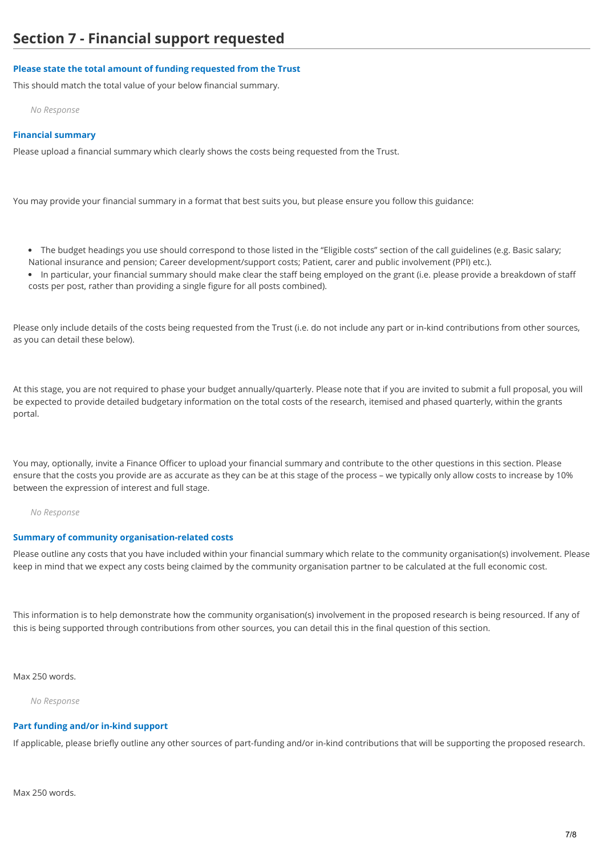# **Please state the total amount of funding requested from the Trust**

This should match the total value of your below financial summary.

*No Response*

### **Financial summary**

Please upload a financial summary which clearly shows the costs being requested from the Trust.

You may provide your financial summary in a format that best suits you, but please ensure you follow this guidance:

- The budget headings you use should correspond to those listed in the "Eligible costs" section of the call guidelines (e.g. Basic salary; National insurance and pension; Career development/support costs; Patient, carer and public involvement (PPI) etc.).
- In particular, your financial summary should make clear the staff being employed on the grant (i.e. please provide a breakdown of staff costs per post, rather than providing a single figure for all posts combined).

Please only include details of the costs being requested from the Trust (i.e. do not include any part or in-kind contributions from other sources, as you can detail these below).

At this stage, you are not required to phase your budget annually/quarterly. Please note that if you are invited to submit a full proposal, you will be expected to provide detailed budgetary information on the total costs of the research, itemised and phased quarterly, within the grants portal.

You may, optionally, invite a Finance Officer to upload your financial summary and contribute to the other questions in this section. Please ensure that the costs you provide are as accurate as they can be at this stage of the process – we typically only allow costs to increase by 10% between the expression of interest and full stage.

#### *No Response*

# **Summary of community organisation-related costs**

Please outline any costs that you have included within your financial summary which relate to the community organisation(s) involvement. Please keep in mind that we expect any costs being claimed by the community organisation partner to be calculated at the full economic cost.

This information is to help demonstrate how the community organisation(s) involvement in the proposed research is being resourced. If any of this is being supported through contributions from other sources, you can detail this in the final question of this section.

# Max 250 words.

*No Response*

# **Part funding and/or in-kind support**

If applicable, please briefly outline any other sources of part-funding and/or in-kind contributions that will be supporting the proposed research.